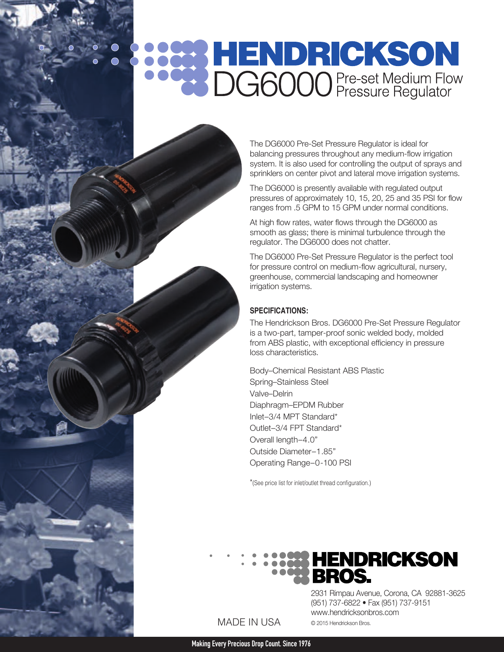# **POOP HENDRICKSON**<br>**POOP DG6000** Pre-set Medium Flow

The DG6000 Pre-Set Pressure Regulator is ideal for balancing pressures throughout any medium-flow irrigation system. It is also used for controlling the output of sprays and sprinklers on center pivot and lateral move irrigation systems.

The DG6000 is presently available with regulated output pressures of approximately 10, 15, 20, 25 and 35 PSI for flow ranges from .5 GPM to 15 GPM under normal conditions.

At high flow rates, water flows through the DG6000 as smooth as glass; there is minimal turbulence through the regulator. The DG6000 does not chatter.

The DG6000 Pre-Set Pressure Regulator is the perfect tool for pressure control on medium-flow agricultural, nursery, greenhouse, commercial landscaping and homeowner irrigation systems.

### **SPECIFICATIONS:**

The Hendrickson Bros. DG6000 Pre-Set Pressure Regulator is a two-part, tamper-proof sonic welded body, molded from ABS plastic, with exceptional efficiency in pressure loss characteristics.

Body–Chemical Resistant ABS Plastic Spring–Stainless Steel Valve–Delrin Diaphragm–EPDM Rubber Inlet–3/4 MPT Standard\* Outlet–3/4 FPT Standard\* Overall length–4.0" Outside Diameter–1.85" Operating Range–0-100 PSI

\*(See price list for inlet/outlet thread configuration.)



MADE IN USA

2931 Rimpau Avenue, Corona, CA 92881-3625 (951) 737-6822 • Fax (951) 737-9151 www.hendricksonbros.com © 2015 Hendrickson Bros.